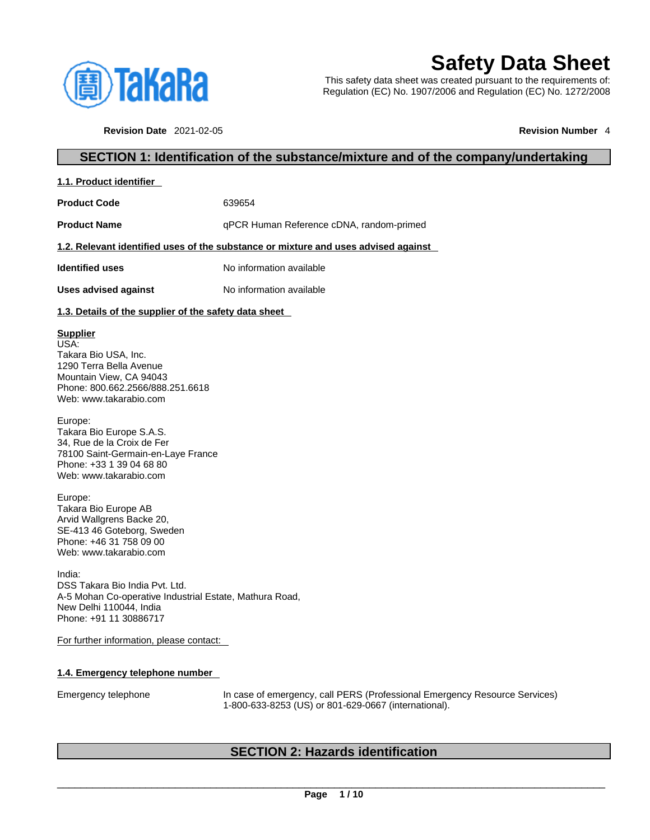

# **Safety Data Sheet**

This safety data sheet was created pursuant to the requirements of: Regulation (EC) No. 1907/2006 and Regulation (EC) No. 1272/2008

**Revision Date** 2021-02-05 **Revision Number** 4

### **SECTION 1: Identification of the substance/mixture and of the company/undertaking**

| 1.1. Product identifier |  |
|-------------------------|--|
|-------------------------|--|

**Product Code** 639654

**Product Name** qPCR Human Reference cDNA, random-primed

### **1.2. Relevant identified uses of the substance or mixture and uses advised against**

**Identified uses** No information available

**Uses advised against** No information available

### **1.3. Details of the supplier of the safety data sheet**

### **Supplier**

USA: Takara Bio USA, Inc. 1290 Terra Bella Avenue Mountain View, CA 94043 Phone: 800.662.2566/888.251.6618 Web: www.takarabio.com

Europe: Takara Bio Europe S.A.S. 34, Rue de la Croix de Fer 78100 Saint-Germain-en-Laye France Phone: +33 1 39 04 68 80 Web: www.takarabio.com

Europe: Takara Bio Europe AB Arvid Wallgrens Backe 20, SE-413 46 Goteborg, Sweden Phone: +46 31 758 09 00 Web: www.takarabio.com

India: DSS Takara Bio India Pvt. Ltd. A-5 Mohan Co-operative Industrial Estate, Mathura Road, New Delhi 110044, India Phone: +91 11 30886717

For further information, please contact:

### **1.4. Emergency telephone number**

Emergency telephone In case of emergency, call PERS (Professional Emergency Resource Services) 1-800-633-8253 (US) or 801-629-0667 (international).

### **SECTION 2: Hazards identification**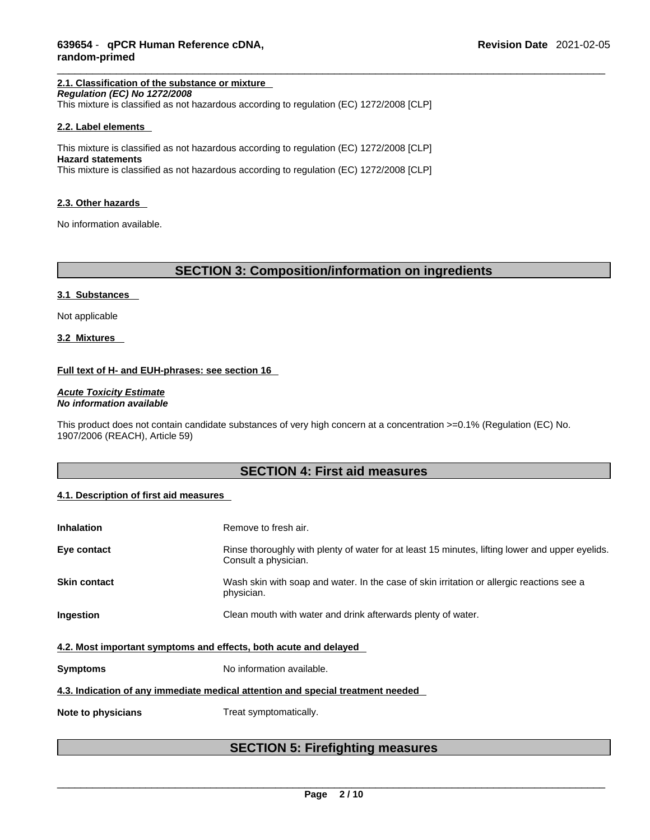### **2.1. Classification of the substance or mixture**

*Regulation (EC) No 1272/2008* 

This mixture is classified as not hazardous according to regulation (EC) 1272/2008 [CLP]

### **2.2. Label elements**

This mixture is classified as not hazardous according to regulation (EC) 1272/2008 [CLP] **Hazard statements** This mixture is classified as not hazardous according to regulation (EC) 1272/2008 [CLP]

#### **2.3. Other hazards**

No information available.

### **SECTION 3: Composition/information on ingredients**

#### **3.1 Substances**

Not applicable

**3.2 Mixtures** 

### **Full text of H- and EUH-phrases: see section 16**

*Acute Toxicity Estimate No information available* 

This product does not contain candidate substances of very high concern at a concentration >=0.1% (Regulation (EC) No. 1907/2006 (REACH), Article 59)

### **SECTION 4: First aid measures**

### **4.1. Description of first aid measures**

| <b>Inhalation</b>                                                               | Remove to fresh air.                                                                                                    |  |  |
|---------------------------------------------------------------------------------|-------------------------------------------------------------------------------------------------------------------------|--|--|
| Eye contact                                                                     | Rinse thoroughly with plenty of water for at least 15 minutes, lifting lower and upper eyelids.<br>Consult a physician. |  |  |
| <b>Skin contact</b>                                                             | Wash skin with soap and water. In the case of skin irritation or allergic reactions see a<br>physician.                 |  |  |
| Ingestion                                                                       | Clean mouth with water and drink afterwards plenty of water.                                                            |  |  |
| 4.2. Most important symptoms and effects, both acute and delayed                |                                                                                                                         |  |  |
| <b>Symptoms</b>                                                                 | No information available.                                                                                               |  |  |
| 4.3. Indication of any immediate medical attention and special treatment needed |                                                                                                                         |  |  |
| Note to physicians                                                              | Treat symptomatically.                                                                                                  |  |  |
|                                                                                 |                                                                                                                         |  |  |

### **SECTION 5: Firefighting measures**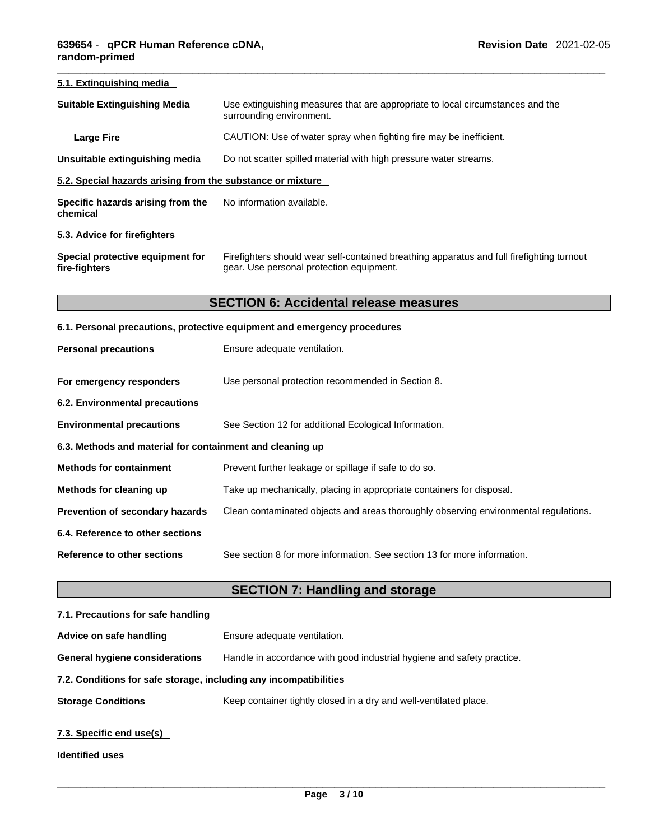| 5.1. Extinguishing media                                   |                                                                                                                                       |
|------------------------------------------------------------|---------------------------------------------------------------------------------------------------------------------------------------|
| <b>Suitable Extinguishing Media</b>                        | Use extinguishing measures that are appropriate to local circumstances and the<br>surrounding environment.                            |
| <b>Large Fire</b>                                          | CAUTION: Use of water spray when fighting fire may be inefficient.                                                                    |
| Unsuitable extinguishing media                             | Do not scatter spilled material with high pressure water streams.                                                                     |
| 5.2. Special hazards arising from the substance or mixture |                                                                                                                                       |
| Specific hazards arising from the<br>chemical              | No information available.                                                                                                             |
| 5.3. Advice for firefighters                               |                                                                                                                                       |
| Special protective equipment for<br>fire-fighters          | Firefighters should wear self-contained breathing apparatus and full firefighting turnout<br>gear. Use personal protection equipment. |
|                                                            | <b>SECTION 6: Accidental release measures</b>                                                                                         |
|                                                            | 6.1. Personal precautions, protective equipment and emergency procedures                                                              |
| <b>Personal precautions</b>                                | Ensure adequate ventilation.                                                                                                          |
| For emergency responders                                   | Use personal protection recommended in Section 8.                                                                                     |
| <b>6.2. Environmental precautions</b>                      |                                                                                                                                       |
| <b>Environmental precautions</b>                           | See Section 12 for additional Ecological Information.                                                                                 |
| 6.3. Methods and material for containment and cleaning up  |                                                                                                                                       |
| <b>Methods for containment</b>                             | Prevent further leakage or spillage if safe to do so.                                                                                 |
| Methods for cleaning up                                    | Take up mechanically, placing in appropriate containers for disposal.                                                                 |
| Prevention of secondary hazards                            | Clean contaminated objects and areas thoroughly observing environmental regulations.                                                  |
| 6.4. Reference to other sections                           |                                                                                                                                       |
| <b>Reference to other sections</b>                         | See section 8 for more information. See section 13 for more information.                                                              |

## **SECTION 7: Handling and storage**

| 7.1. Precautions for safe handling                                |                                                                        |  |  |
|-------------------------------------------------------------------|------------------------------------------------------------------------|--|--|
| Advice on safe handling                                           | Ensure adequate ventilation.                                           |  |  |
| <b>General hygiene considerations</b>                             | Handle in accordance with good industrial hygiene and safety practice. |  |  |
| 7.2. Conditions for safe storage, including any incompatibilities |                                                                        |  |  |
| <b>Storage Conditions</b>                                         | Keep container tightly closed in a dry and well-ventilated place.      |  |  |
| 7.3. Specific end use(s)<br><b>Identified uses</b>                |                                                                        |  |  |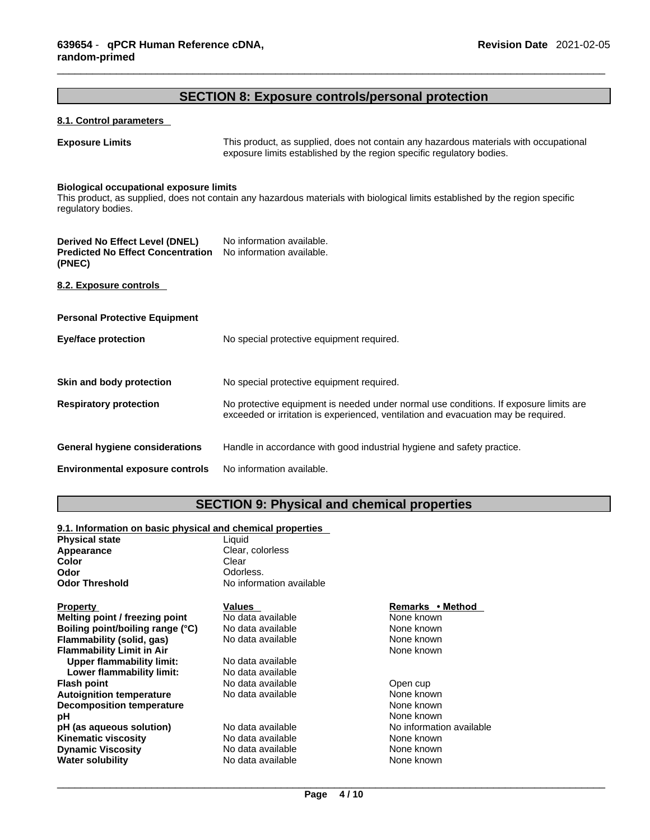### **SECTION 8: Exposure controls/personal protection**

| 8.1. Control parameters                                                                     |                                                                                                                                                                             |
|---------------------------------------------------------------------------------------------|-----------------------------------------------------------------------------------------------------------------------------------------------------------------------------|
| <b>Exposure Limits</b>                                                                      | This product, as supplied, does not contain any hazardous materials with occupational<br>exposure limits established by the region specific regulatory bodies.              |
| <b>Biological occupational exposure limits</b><br>regulatory bodies.                        | This product, as supplied, does not contain any hazardous materials with biological limits established by the region specific                                               |
| <b>Derived No Effect Level (DNEL)</b><br><b>Predicted No Effect Concentration</b><br>(PNEC) | No information available.<br>No information available.                                                                                                                      |
| 8.2. Exposure controls                                                                      |                                                                                                                                                                             |
| <b>Personal Protective Equipment</b>                                                        |                                                                                                                                                                             |
| <b>Eye/face protection</b>                                                                  | No special protective equipment required.                                                                                                                                   |
| Skin and body protection                                                                    | No special protective equipment required.                                                                                                                                   |
| <b>Respiratory protection</b>                                                               | No protective equipment is needed under normal use conditions. If exposure limits are<br>exceeded or irritation is experienced, ventilation and evacuation may be required. |
| <b>General hygiene considerations</b>                                                       | Handle in accordance with good industrial hygiene and safety practice.                                                                                                      |
| <b>Environmental exposure controls</b>                                                      | No information available.                                                                                                                                                   |

### **SECTION 9: Physical and chemical properties**

#### **9.1. Information on basic physical and chemical properties**

| <b>Physical state</b>            | Liquid                   |                          |
|----------------------------------|--------------------------|--------------------------|
| Appearance                       | Clear, colorless         |                          |
| Color                            | Clear                    |                          |
| Odor                             | Odorless.                |                          |
| <b>Odor Threshold</b>            | No information available |                          |
| <b>Property</b>                  | Values                   | Remarks • Method         |
| Melting point / freezing point   | No data available        | None known               |
| Boiling point/boiling range (°C) | No data available        | None known               |
| Flammability (solid, gas)        | No data available        | None known               |
| <b>Flammability Limit in Air</b> |                          | None known               |
| <b>Upper flammability limit:</b> | No data available        |                          |
| Lower flammability limit:        | No data available        |                          |
| <b>Flash point</b>               | No data available        | Open cup                 |
| <b>Autoignition temperature</b>  | No data available        | None known               |
| <b>Decomposition temperature</b> |                          | None known               |
| рH                               |                          | None known               |
| pH (as aqueous solution)         | No data available        | No information available |
| <b>Kinematic viscosity</b>       | No data available        | None known               |
| <b>Dynamic Viscosity</b>         | No data available        | None known               |
| <b>Water solubility</b>          | No data available        | None known               |
|                                  |                          |                          |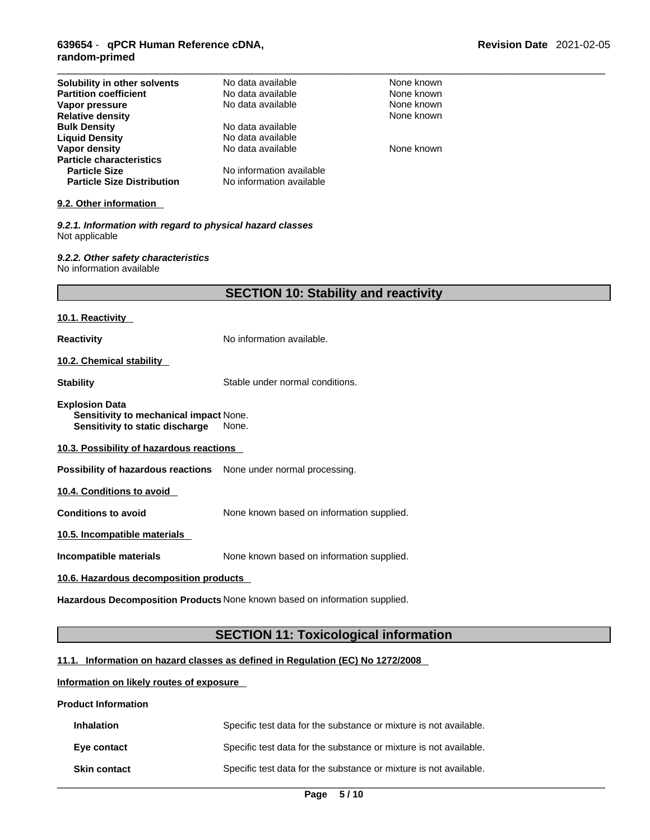### \_\_\_\_\_\_\_\_\_\_\_\_\_\_\_\_\_\_\_\_\_\_\_\_\_\_\_\_\_\_\_\_\_\_\_\_\_\_\_\_\_\_\_\_\_\_\_\_\_\_\_\_\_\_\_\_\_\_\_\_\_\_\_\_\_\_\_\_\_\_\_\_\_\_\_\_\_\_\_\_\_\_\_\_\_\_\_\_\_\_\_\_\_ **639654** - **qPCR Human Reference cDNA, random-primed**

| Solubility in other solvents                                                                       | No data available                                                          | None known |  |
|----------------------------------------------------------------------------------------------------|----------------------------------------------------------------------------|------------|--|
| <b>Partition coefficient</b>                                                                       | No data available                                                          | None known |  |
| Vapor pressure                                                                                     | No data available                                                          | None known |  |
| <b>Relative density</b>                                                                            |                                                                            | None known |  |
| <b>Bulk Density</b>                                                                                | No data available                                                          |            |  |
| <b>Liquid Density</b>                                                                              | No data available                                                          |            |  |
| Vapor density                                                                                      | No data available                                                          | None known |  |
| <b>Particle characteristics</b>                                                                    |                                                                            |            |  |
|                                                                                                    | No information available                                                   |            |  |
| <b>Particle Size</b>                                                                               |                                                                            |            |  |
| <b>Particle Size Distribution</b>                                                                  | No information available                                                   |            |  |
| 9.2. Other information                                                                             |                                                                            |            |  |
| 9.2.1. Information with regard to physical hazard classes<br>Not applicable                        |                                                                            |            |  |
| 9.2.2. Other safety characteristics<br>No information available                                    |                                                                            |            |  |
|                                                                                                    |                                                                            |            |  |
|                                                                                                    | <b>SECTION 10: Stability and reactivity</b>                                |            |  |
| 10.1. Reactivity                                                                                   |                                                                            |            |  |
| Reactivity                                                                                         | No information available.                                                  |            |  |
| <u>10.2. Chemical stability</u>                                                                    |                                                                            |            |  |
| Stability                                                                                          | Stable under normal conditions.                                            |            |  |
| <b>Explosion Data</b><br>Sensitivity to mechanical impact None.<br>Sensitivity to static discharge | None.                                                                      |            |  |
| 10.3. Possibility of hazardous reactions                                                           |                                                                            |            |  |
| Possibility of hazardous reactions                                                                 | None under normal processing.                                              |            |  |
| 10.4. Conditions to avoid                                                                          |                                                                            |            |  |
| <b>Conditions to avoid</b>                                                                         | None known based on information supplied.                                  |            |  |
| 10.5. Incompatible materials                                                                       |                                                                            |            |  |
| None known based on information supplied.<br>Incompatible materials                                |                                                                            |            |  |
| 10.6. Hazardous decomposition products                                                             |                                                                            |            |  |
|                                                                                                    | Hazardous Decomposition Products None known based on information supplied. |            |  |
|                                                                                                    |                                                                            |            |  |

### **SECTION 11: Toxicological information**

### **11.1. Information on hazard classes as defined in Regulation (EC) No 1272/2008**

### **Information on likely routes of exposure**

### **Product Information**

I

| <b>Inhalation</b>   | Specific test data for the substance or mixture is not available. |
|---------------------|-------------------------------------------------------------------|
| Eye contact         | Specific test data for the substance or mixture is not available. |
| <b>Skin contact</b> | Specific test data for the substance or mixture is not available. |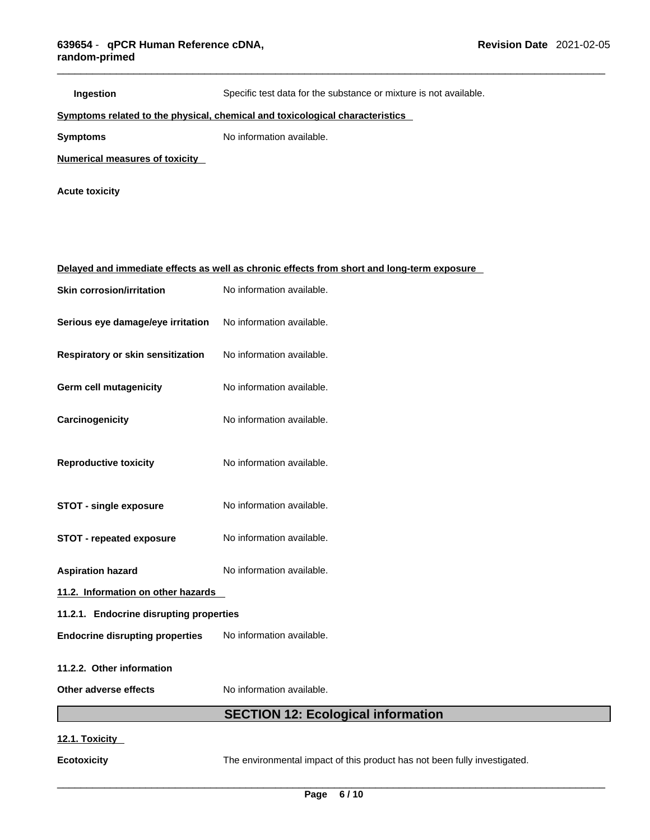| Ingestion                                                                    | Specific test data for the substance or mixture is not available.                          |  |
|------------------------------------------------------------------------------|--------------------------------------------------------------------------------------------|--|
| Symptoms related to the physical, chemical and toxicological characteristics |                                                                                            |  |
| <b>Symptoms</b>                                                              | No information available.                                                                  |  |
| Numerical measures of toxicity                                               |                                                                                            |  |
| <b>Acute toxicity</b>                                                        |                                                                                            |  |
|                                                                              |                                                                                            |  |
|                                                                              | Delayed and immediate effects as well as chronic effects from short and long-term exposure |  |
| <b>Skin corrosion/irritation</b>                                             | No information available.                                                                  |  |
| Serious eye damage/eye irritation                                            | No information available.                                                                  |  |
| Respiratory or skin sensitization                                            | No information available.                                                                  |  |
| <b>Germ cell mutagenicity</b>                                                | No information available.                                                                  |  |
| Carcinogenicity                                                              | No information available.                                                                  |  |
| <b>Reproductive toxicity</b>                                                 | No information available.                                                                  |  |
| STOT - single exposure                                                       | No information available.                                                                  |  |
| <b>STOT - repeated exposure</b>                                              | No information available.                                                                  |  |
| <b>Aspiration hazard</b>                                                     | No information available.                                                                  |  |
| 11.2. Information on other hazards                                           |                                                                                            |  |
| 11.2.1. Endocrine disrupting properties                                      |                                                                                            |  |
| <b>Endocrine disrupting properties</b>                                       | No information available.                                                                  |  |
| 11.2.2. Other information                                                    |                                                                                            |  |
| Other adverse effects                                                        | No information available.                                                                  |  |
|                                                                              | <b>SECTION 12: Ecological information</b>                                                  |  |
|                                                                              |                                                                                            |  |

### **12.1. Toxicity**

**Ecotoxicity** The environmental impact of this product has not been fully investigated.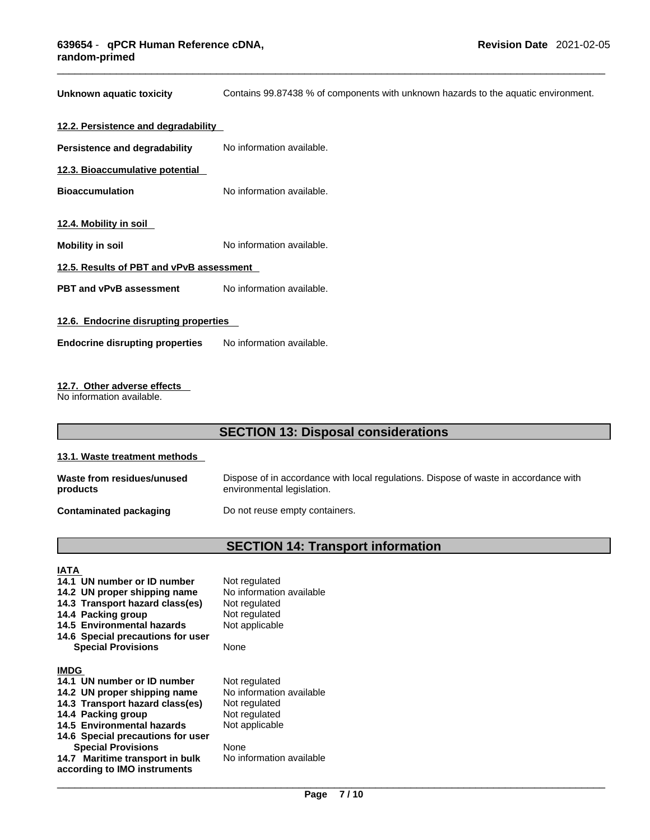**Unknown aquatic toxicity** Contains 99.87438 % of components with unknown hazards to the aquatic environment.

| 12.2. Persistence and degradability      |                           |  |
|------------------------------------------|---------------------------|--|
| Persistence and degradability            | No information available. |  |
| 12.3. Bioaccumulative potential          |                           |  |
| <b>Bioaccumulation</b>                   | No information available. |  |
|                                          |                           |  |
| 12.4. Mobility in soil                   |                           |  |
| Mobility in soil                         | No information available. |  |
| 12.5. Results of PBT and vPvB assessment |                           |  |
| <b>PBT and vPvB assessment</b>           | No information available. |  |
|                                          |                           |  |
| 12.6. Endocrine disrupting properties    |                           |  |
| <b>Endocrine disrupting properties</b>   | No information available. |  |
|                                          |                           |  |

### **12.7. Other adverse effects**

No information available.

### **SECTION 13: Disposal considerations**

### **13.1. Waste treatment methods**

| Waste from residues/unused | Dispose of in accordance with local regulations. Dispose of waste in accordance with |
|----------------------------|--------------------------------------------------------------------------------------|
| products                   | environmental legislation.                                                           |
| Contaminated packaging     | Do not reuse empty containers.                                                       |

### **SECTION 14: Transport information**

### **IATA**

- 
- **14.2 UN proper shipping name**
- **14.3 Transport hazard class(es)** Not regulated **14.4 Packing group**
- 
- **14.4 Packing group**  Not regulated<br>**14.5 Environmental hazards** Not applicable **14.5 Environmental hazards**
- **14.6 Special precautions for user Special Provisions** None

### **IMDG**

- 
- **14.2 UN proper shipping name** No information<br>**14.3 Transport hazard class(es)** Not regulated
- **14.3 Transport hazard class(es)**
- **14.4 Packing group Mot regulated**
- 14.5 Environmental hazards Not applicable
- **14.6 Special precautions for user Special Provisions** None
- **14.7 Maritime transport in bulk according to IMO instruments**

**14.1 UN number or ID number** Not regulated<br>**14.2 UN proper shipping name** No information available

**14.1 UN number or ID number** Not regulated<br>**14.2 UN proper shipping name** No information available

No information available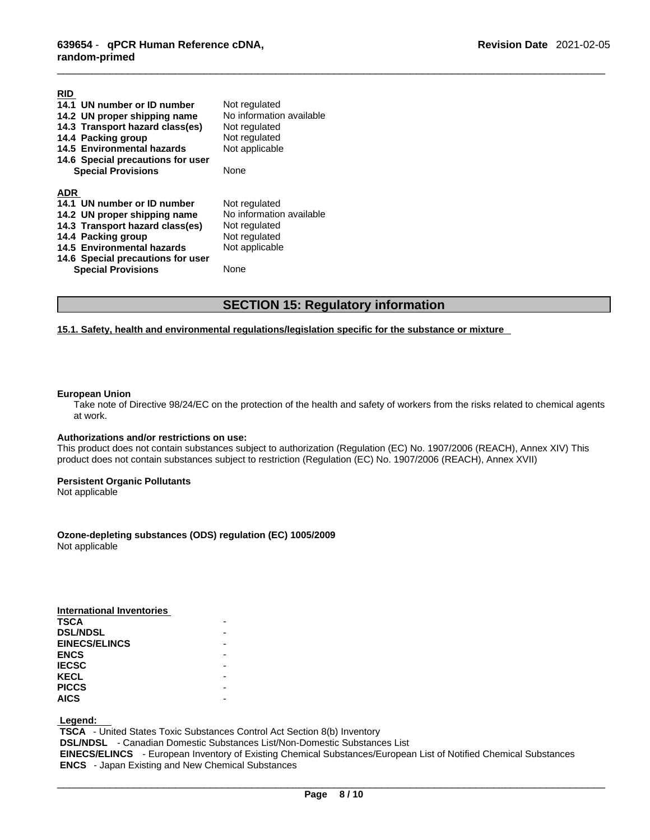| 14.1 UN number or ID number       | Not regulated            |
|-----------------------------------|--------------------------|
| 14.2 UN proper shipping name      | No information available |
| 14.3 Transport hazard class(es)   | Not regulated            |
| 14.4 Packing group                | Not regulated            |
| 14.5 Environmental hazards        | Not applicable           |
| 14.6 Special precautions for user |                          |
| <b>Special Provisions</b>         | None                     |
|                                   |                          |
| <b>ADR</b>                        |                          |
| 14.1 UN number or ID number       | Not regulated            |
| 14.2 UN proper shipping name      | No information available |
| 14.3 Transport hazard class(es)   | Not regulated            |
| 14.4 Packing group                | Not regulated            |
| 14.5 Environmental hazards        | Not applicable           |
| 14.6 Special precautions for user |                          |
| <b>Special Provisions</b>         | None                     |
|                                   |                          |

### **SECTION 15: Regulatory information**

### **15.1. Safety, health and environmental regulations/legislation specific for the substance or mixture**

#### **European Union**

**RID** 

Take note of Directive 98/24/EC on the protection of the health and safety of workers from the risks related to chemical agents at work.

### **Authorizations and/or restrictions on use:**

This product does not contain substances subject to authorization (Regulation (EC) No. 1907/2006 (REACH), Annex XIV) This product does not contain substances subject to restriction (Regulation (EC) No. 1907/2006 (REACH), Annex XVII)

#### **Persistent Organic Pollutants**

Not applicable

### **Ozone-depleting substances (ODS) regulation (EC) 1005/2009**

Not applicable

| International Inventories |  |
|---------------------------|--|
| <b>TSCA</b>               |  |
| <b>DSL/NDSL</b>           |  |
| <b>EINECS/ELINCS</b>      |  |
| <b>ENCS</b>               |  |
| <b>IECSC</b>              |  |
| <b>KECL</b>               |  |
| <b>PICCS</b>              |  |
| <b>AICS</b>               |  |
|                           |  |

 **Legend:** 

 **TSCA** - United States Toxic Substances Control Act Section 8(b) Inventory

 **DSL/NDSL** - Canadian Domestic Substances List/Non-Domestic Substances List

 **EINECS/ELINCS** - European Inventory of Existing Chemical Substances/European List of Notified Chemical Substances  **ENCS** - Japan Existing and New Chemical Substances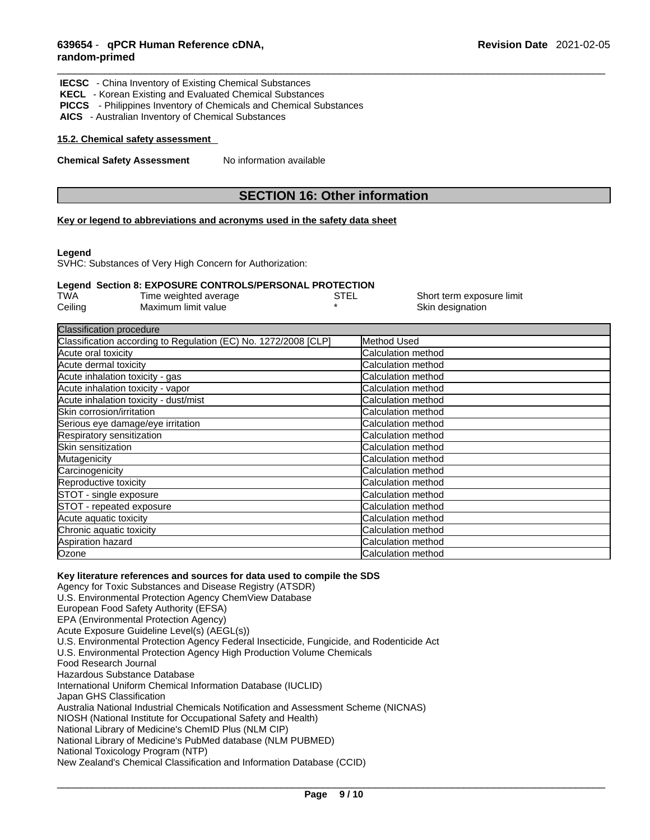| <b>IECSC</b> - China Inventory of Existing Chemical Substances<br><b>KECL</b> - Korean Existing and Evaluated Chemical Substances<br><b>PICCS</b> - Philippines Inventory of Chemicals and Chemical Substances<br>AICS - Australian Inventory of Chemical Substances |                                      |  |  |
|----------------------------------------------------------------------------------------------------------------------------------------------------------------------------------------------------------------------------------------------------------------------|--------------------------------------|--|--|
| 15.2. Chemical safety assessment                                                                                                                                                                                                                                     |                                      |  |  |
| <b>Chemical Safety Assessment</b>                                                                                                                                                                                                                                    | No information available             |  |  |
|                                                                                                                                                                                                                                                                      |                                      |  |  |
|                                                                                                                                                                                                                                                                      | <b>SECTION 16: Other information</b> |  |  |

#### **Key or legend to abbreviations and acronyms used in the safety data sheet**

#### **Legend**

SVHC: Substances of Very High Concern for Authorization:

#### **Legend Section 8: EXPOSURE CONTROLS/PERSONAL PROTECTION**

| <b>TWA</b> | Time weighted average | STEL | Short term exposure limit |
|------------|-----------------------|------|---------------------------|
| Ceiling    | Maximum limit value   |      | Skin designation          |

| <b>Classification procedure</b>                                 |                            |
|-----------------------------------------------------------------|----------------------------|
| Classification according to Regulation (EC) No. 1272/2008 [CLP] | Method Used                |
| Acute oral toxicity                                             | <b>ICalculation method</b> |
| Acute dermal toxicity                                           | Calculation method         |
| Acute inhalation toxicity - gas                                 | Calculation method         |
| Acute inhalation toxicity - vapor                               | <b>ICalculation method</b> |
| Acute inhalation toxicity - dust/mist                           | <b>Calculation method</b>  |
| Skin corrosion/irritation                                       | <b>ICalculation method</b> |
| Serious eye damage/eye irritation                               | <b>Calculation method</b>  |
| Respiratory sensitization                                       | Calculation method         |
| Skin sensitization                                              | Calculation method         |
| Mutagenicity                                                    | Calculation method         |
| Carcinogenicity                                                 | <b>Calculation method</b>  |
| Reproductive toxicity                                           | <b>Calculation method</b>  |
| STOT - single exposure                                          | <b>Calculation method</b>  |
| STOT - repeated exposure                                        | <b>ICalculation method</b> |
| Acute aquatic toxicity                                          | Calculation method         |
| Chronic aquatic toxicity                                        | <b>Calculation method</b>  |
| Aspiration hazard                                               | Calculation method         |
| Ozone                                                           | Calculation method         |

#### **Key literature references and sources for data used to compile the SDS**

Agency for Toxic Substances and Disease Registry (ATSDR) U.S. Environmental Protection Agency ChemView Database European Food Safety Authority (EFSA) EPA (Environmental Protection Agency) Acute Exposure Guideline Level(s) (AEGL(s)) U.S. Environmental Protection Agency Federal Insecticide, Fungicide, and Rodenticide Act U.S. Environmental Protection Agency High Production Volume Chemicals Food Research Journal Hazardous Substance Database International Uniform Chemical Information Database (IUCLID) Japan GHS Classification Australia National Industrial Chemicals Notification and Assessment Scheme (NICNAS) NIOSH (National Institute for Occupational Safety and Health) National Library of Medicine's ChemID Plus (NLM CIP) National Library of Medicine's PubMed database (NLM PUBMED) National Toxicology Program (NTP) New Zealand's Chemical Classification and Information Database (CCID)